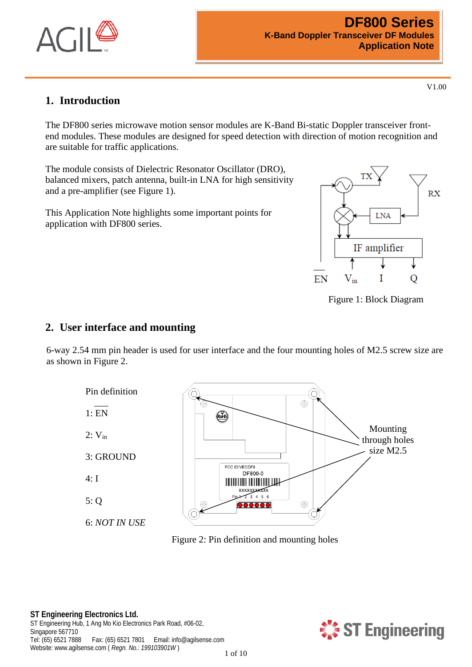

## **1. Introduction**

The DF800 series microwave motion sensor modules are K-Band Bi-static Doppler transceiver frontend modules. These modules are designed for speed detection with direction of motion recognition and are suitable for traffic applications.

The module consists of Dielectric Resonator Oscillator (DRO), balanced mixers, patch antenna, built-in LNA for high sensitivity and a pre-amplifier (see [Figure 1\)](#page-0-0).

This Application Note highlights some important points for application with DF800 series.



<span id="page-0-0"></span>Figure 1: Block Diagram

#### **2. User interface and mounting**

6-way 2.54 mm pin header is used for user interface and the four mounting holes of M2.5 screw size are as shown in [Figure 2.](#page-0-1)



<span id="page-0-1"></span>Figure 2: Pin definition and mounting holes

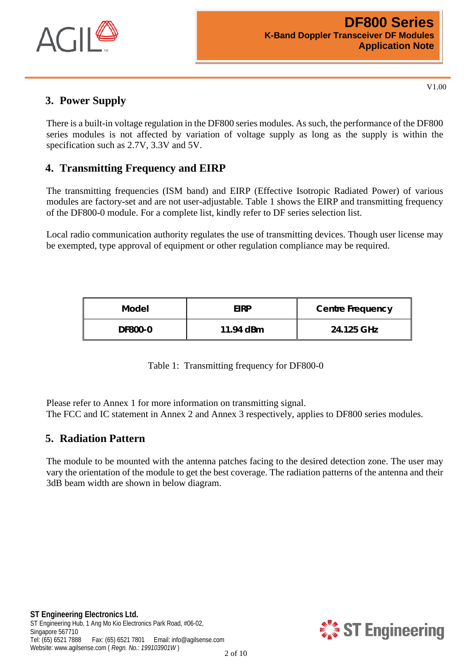

## **3. Power Supply**

There is a built-in voltage regulation in the DF800 series modules. As such, the performance of the DF800 series modules is not affected by variation of voltage supply as long as the supply is within the specification such as 2.7V, 3.3V and 5V.

## **4. Transmitting Frequency and EIRP**

The transmitting frequencies (ISM band) and EIRP (Effective Isotropic Radiated Power) of various modules are factory-set and are not user-adjustable. [Table 1](#page-1-0) shows the EIRP and transmitting frequency of the DF800-0 module. For a complete list, kindly refer to DF series selection list.

Local radio communication authority regulates the use of transmitting devices. Though user license may be exempted, type approval of equipment or other regulation compliance may be required.

| Model          | <b>EIRP</b> | <b>Centre Frequency</b> |
|----------------|-------------|-------------------------|
| <b>DF800-0</b> | 11.94 dBm   | 24.125 GHz              |

Table 1: Transmitting frequency for DF800-0

<span id="page-1-0"></span>Please refer to [Annex 1](#page-8-0) for more information on transmitting signal. The FCC and IC statement in Annex 2 and Annex 3 respectively, applies to DF800 series modules.

## **5. Radiation Pattern**

The module to be mounted with the antenna patches facing to the desired detection zone. The user may vary the orientation of the module to get the best coverage. The radiation patterns of the antenna and their 3dB beam width are shown in below diagram.

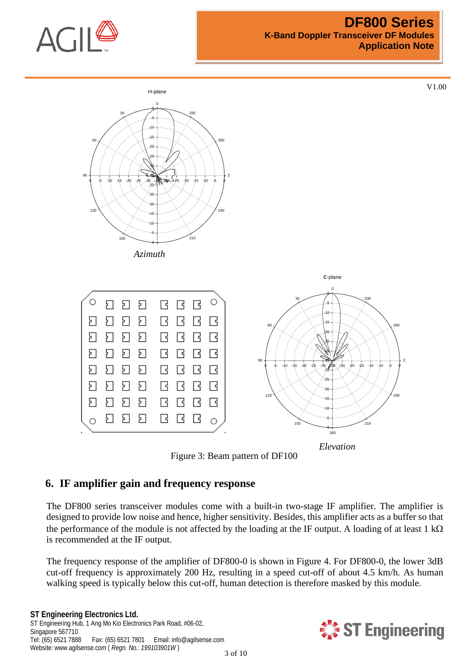

#### **DF800 Series K-Band Doppler Transceiver DF Modules Application Note**

V1.00



Figure 3: Beam pattern of DF100

## **6. IF amplifier gain and frequency response**

The DF800 series transceiver modules come with a built-in two-stage IF amplifier. The amplifier is designed to provide low noise and hence, higher sensitivity. Besides, this amplifier acts as a buffer so that the performance of the module is not affected by the loading at the IF output. A loading of at least 1 kΩ is recommended at the IF output.

The frequency response of the amplifier of DF800-0 is shown in [Figure 4.](#page-3-0) For DF800-0, the lower 3dB cut-off frequency is approximately 200 Hz, resulting in a speed cut-off of about 4.5 km/h. As human walking speed is typically below this cut-off, human detection is therefore masked by this module.

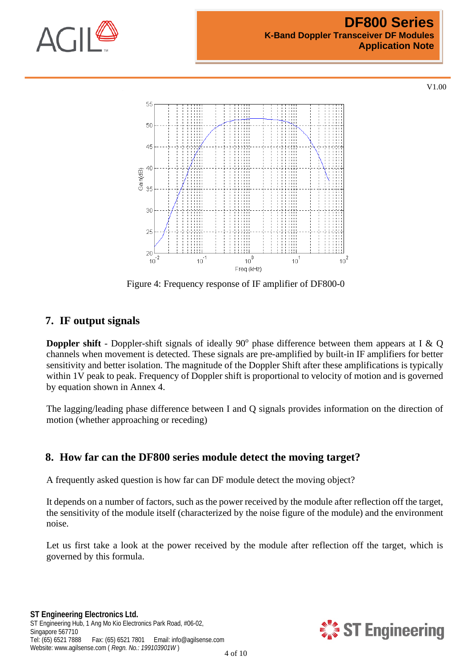



Figure 4: Frequency response of IF amplifier of DF800-0

## <span id="page-3-0"></span>**7. IF output signals**

**Doppler shift** - Doppler-shift signals of ideally 90 $^{\circ}$  phase difference between them appears at I & Q channels when movement is detected. These signals are pre-amplified by built-in IF amplifiers for better sensitivity and better isolation. The magnitude of the Doppler Shift after these amplifications is typically within 1V peak to peak. Frequency of Doppler shift is proportional to velocity of motion and is governed by equation shown in [Annex 4](#page-14-0).

The lagging/leading phase difference between I and Q signals provides information on the direction of motion (whether approaching or receding)

## **8. How far can the DF800 series module detect the moving target?**

A frequently asked question is how far can DF module detect the moving object?

It depends on a number of factors, such as the power received by the module after reflection off the target, the sensitivity of the module itself (characterized by the noise figure of the module) and the environment noise.

Let us first take a look at the power received by the module after reflection off the target, which is governed by this formula.

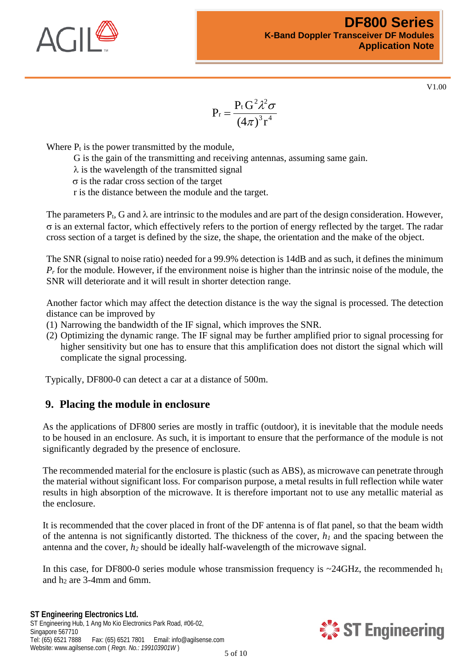

$$
P_r=\frac{P_{\rm t}\,G^2\lambda^2\sigma}{\left(4\pi\right)^3r^4}
$$

Where  $P_t$  is the power transmitted by the module,

G is the gain of the transmitting and receiving antennas, assuming same gain.

 $\lambda$  is the wavelength of the transmitted signal

σ is the radar cross section of the target

r is the distance between the module and the target.

The parameters  $P_t$ , G and  $\lambda$  are intrinsic to the modules and are part of the design consideration. However, σ is an external factor, which effectively refers to the portion of energy reflected by the target. The radar cross section of a target is defined by the size, the shape, the orientation and the make of the object.

The SNR (signal to noise ratio) needed for a 99.9% detection is 14dB and as such, it defines the minimum *Pr* for the module. However, if the environment noise is higher than the intrinsic noise of the module, the SNR will deteriorate and it will result in shorter detection range.

Another factor which may affect the detection distance is the way the signal is processed. The detection distance can be improved by

- (1) Narrowing the bandwidth of the IF signal, which improves the SNR.
- (2) Optimizing the dynamic range. The IF signal may be further amplified prior to signal processing for higher sensitivity but one has to ensure that this amplification does not distort the signal which will complicate the signal processing.

Typically, DF800-0 can detect a car at a distance of 500m.

#### **9. Placing the module in enclosure**

As the applications of DF800 series are mostly in traffic (outdoor), it is inevitable that the module needs to be housed in an enclosure. As such, it is important to ensure that the performance of the module is not significantly degraded by the presence of enclosure.

The recommended material for the enclosure is plastic (such as ABS), as microwave can penetrate through the material without significant loss. For comparison purpose, a metal results in full reflection while water results in high absorption of the microwave. It is therefore important not to use any metallic material as the enclosure.

It is recommended that the cover placed in front of the DF antenna is of flat panel, so that the beam width of the antenna is not significantly distorted. The thickness of the cover,  $h_1$  and the spacing between the antenna and the cover, *h2* should be ideally half-wavelength of the microwave signal.

In this case, for DF800-0 series module whose transmission frequency is  $\sim$ 24GHz, the recommended h<sub>1</sub> and  $h_2$  are 3-4mm and 6mm.

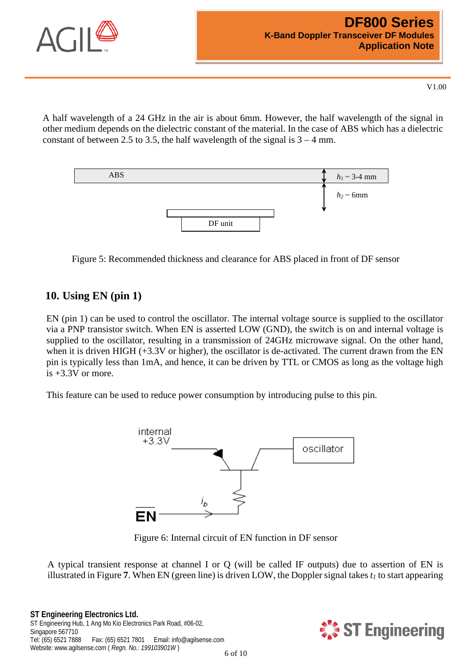

A half wavelength of a 24 GHz in the air is about 6mm. However, the half wavelength of the signal in other medium depends on the dielectric constant of the material. In the case of ABS which has a dielectric constant of between 2.5 to 3.5, the half wavelength of the signal is  $3 - 4$  mm.



Figure 5: Recommended thickness and clearance for ABS placed in front of DF sensor

### **10. Using EN (pin 1)**

EN (pin 1) can be used to control the oscillator. The internal voltage source is supplied to the oscillator via a PNP transistor switch. When EN is asserted LOW (GND), the switch is on and internal voltage is supplied to the oscillator, resulting in a transmission of 24GHz microwave signal. On the other hand, when it is driven HIGH (+3.3V or higher), the oscillator is de-activated. The current drawn from the EN pin is typically less than 1mA, and hence, it can be driven by TTL or CMOS as long as the voltage high  $is +3.3V$  or more.

This feature can be used to reduce power consumption by introducing pulse to this pin.



Figure 6: Internal circuit of EN function in DF sensor

A typical transient response at channel I or Q (will be called IF outputs) due to assertion of EN is illustrated in [Figure](#page-6-0) **7**. When EN (green line) is driven LOW, the Doppler signal takes  $t_1$  to start appearing

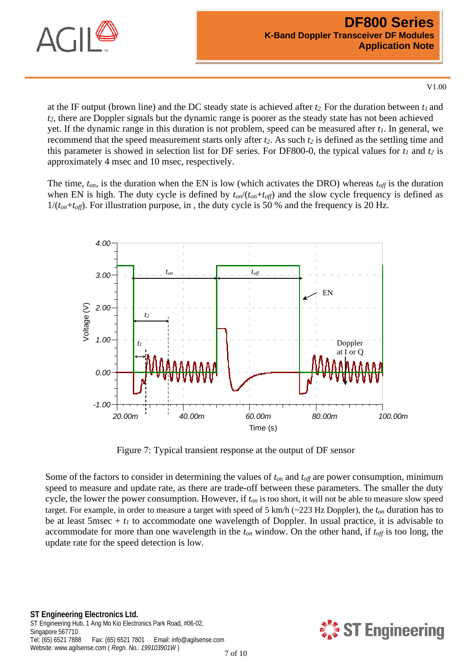

at the IF output (brown line) and the DC steady state is achieved after *t2.* For the duration between *t1* and *t2*, there are Doppler signals but the dynamic range is poorer as the steady state has not been achieved yet. If the dynamic range in this duration is not problem, speed can be measured after  $t_1$ . In general, we recommend that the speed measurement starts only after  $t_2$ . As such  $t_2$  is defined as the settling time and this parameter is showed in selection list for DF series. For DF800-0, the typical values for  $t_1$  and  $t_2$  is approximately 4 msec and 10 msec, respectively.

The time,  $t_{on}$ , is the duration when the EN is low (which activates the DRO) whereas  $t_{off}$  is the duration when EN is high. The duty cycle is defined by  $t_{on}/(t_{on}+t_{off})$  and the slow cycle frequency is defined as  $1/(t_{on}+t_{off})$ . For illustration purpose, in, the duty cycle is 50 % and the frequency is 20 Hz.



Figure 7: Typical transient response at the output of DF sensor

<span id="page-6-0"></span>Some of the factors to consider in determining the values of  $t_{on}$  and  $t_{off}$  are power consumption, minimum speed to measure and update rate, as there are trade-off between these parameters. The smaller the duty cycle, the lower the power consumption. However, if *ton* is too short, it will not be able to measure slow speed target. For example, in order to measure a target with speed of 5 km/h (~223 Hz Doppler), the *ton* duration has to be at least 5msec  $+ t_1$  to accommodate one wavelength of Doppler. In usual practice, it is advisable to accommodate for more than one wavelength in the  $t_{on}$  window. On the other hand, if  $t_{off}$  is too long, the update rate for the speed detection is low.

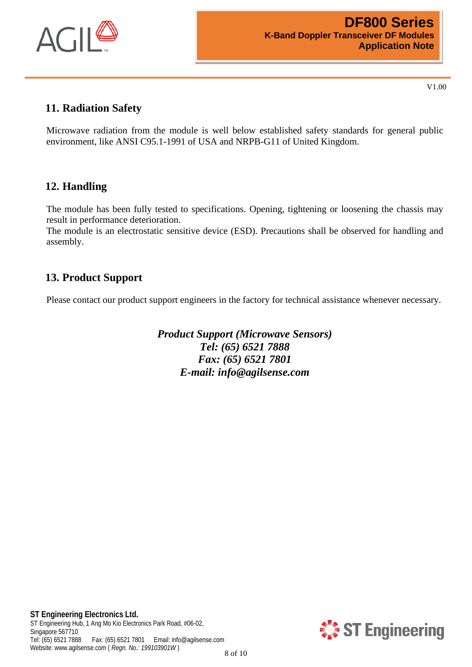

## **11. Radiation Safety**

Microwave radiation from the module is well below established safety standards for general public environment, like ANSI C95.1-1991 of USA and NRPB-G11 of United Kingdom.

## **12. Handling**

The module has been fully tested to specifications. Opening, tightening or loosening the chassis may result in performance deterioration.

The module is an electrostatic sensitive device (ESD). Precautions shall be observed for handling and assembly.

## **13. Product Support**

Please contact our product support engineers in the factory for technical assistance whenever necessary.

*Product Support (Microwave Sensors) Tel: (65) 6521 7888 Fax: (65) 6521 7801 E-mail: info@agilsense.com*

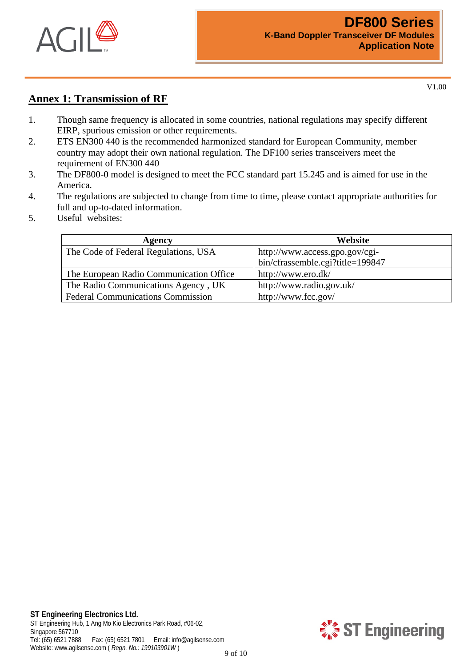

## <span id="page-8-0"></span>**Annex 1: Transmission of RF**

- 1. Though same frequency is allocated in some countries, national regulations may specify different EIRP, spurious emission or other requirements.
- 2. ETS EN300 440 is the recommended harmonized standard for European Community, member country may adopt their own national regulation. The DF100 series transceivers meet the requirement of EN300 440
- 3. The DF800-0 model is designed to meet the FCC standard part 15.245 and is aimed for use in the America.
- 4. The regulations are subjected to change from time to time, please contact appropriate authorities for full and up-to-dated information.
- 5. Useful websites:

| Agency                                   | Website                          |
|------------------------------------------|----------------------------------|
| The Code of Federal Regulations, USA     | http://www.access.gpo.gov/cgi-   |
|                                          | bin/cfrassemble.cgi?title=199847 |
| The European Radio Communication Office  | http://www.ero.dk/               |
| The Radio Communications Agency, UK      | http://www.radio.gov.uk/         |
| <b>Federal Communications Commission</b> | http://www.fcc.gov/              |



9 of 10

V1.00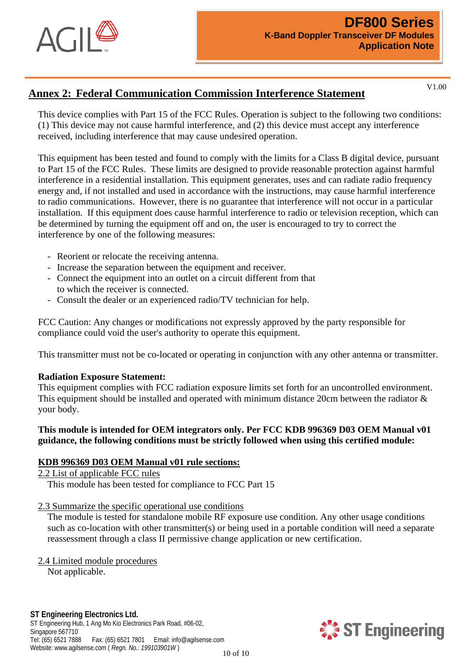

## **Annex 2: Federal Communication Commission Interference Statement**

V1.00

This device complies with Part 15 of the FCC Rules. Operation is subject to the following two conditions: (1) This device may not cause harmful interference, and (2) this device must accept any interference received, including interference that may cause undesired operation.

This equipment has been tested and found to comply with the limits for a Class B digital device, pursuant to Part 15 of the FCC Rules. These limits are designed to provide reasonable protection against harmful interference in a residential installation. This equipment generates, uses and can radiate radio frequency energy and, if not installed and used in accordance with the instructions, may cause harmful interference to radio communications. However, there is no guarantee that interference will not occur in a particular installation. If this equipment does cause harmful interference to radio or television reception, which can be determined by turning the equipment off and on, the user is encouraged to try to correct the interference by one of the following measures:

- Reorient or relocate the receiving antenna.
- Increase the separation between the equipment and receiver.
- Connect the equipment into an outlet on a circuit different from that to which the receiver is connected.
- Consult the dealer or an experienced radio/TV technician for help.

FCC Caution: Any changes or modifications not expressly approved by the party responsible for compliance could void the user's authority to operate this equipment.

This transmitter must not be co-located or operating in conjunction with any other antenna or transmitter.

#### **Radiation Exposure Statement:**

This equipment complies with FCC radiation exposure limits set forth for an uncontrolled environment. This equipment should be installed and operated with minimum distance 20cm between the radiator & your body.

#### **This module is intended for OEM integrators only. Per FCC KDB 996369 D03 OEM Manual v01 guidance, the following conditions must be strictly followed when using this certified module:**

#### **KDB 996369 D03 OEM Manual v01 rule sections:**

2.2 List of applicable FCC rules

This module has been tested for compliance to FCC Part 15

2.3 Summarize the specific operational use conditions

The module is tested for standalone mobile RF exposure use condition. Any other usage conditions such as co-location with other transmitter(s) or being used in a portable condition will need a separate reassessment through a class II permissive change application or new certification.

2.4 Limited module procedures

Not applicable.

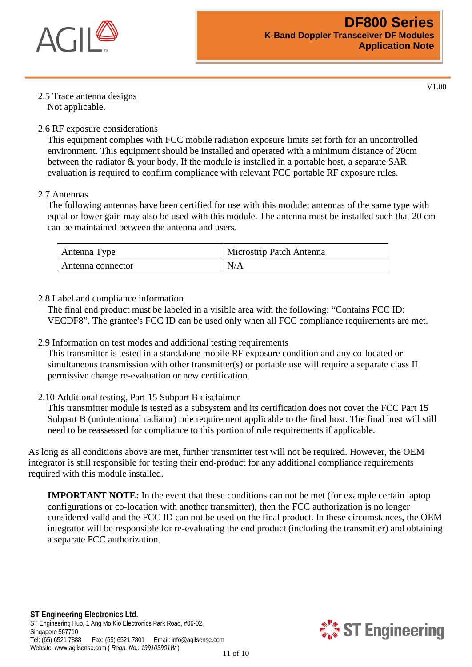

## 2.5 Trace antenna designs

V1.00

# Not applicable.

#### 2.6 RF exposure considerations

This equipment complies with FCC mobile radiation exposure limits set forth for an uncontrolled environment. This equipment should be installed and operated with a minimum distance of 20cm between the radiator & your body. If the module is installed in a portable host, a separate SAR evaluation is required to confirm compliance with relevant FCC portable RF exposure rules.

#### 2.7 Antennas

The following antennas have been certified for use with this module; antennas of the same type with equal or lower gain may also be used with this module. The antenna must be installed such that 20 cm can be maintained between the antenna and users.

| Antenna Type      | Microstrip Patch Antenna |
|-------------------|--------------------------|
| Antenna connector | N/A                      |

#### 2.8 Label and compliance information

The final end product must be labeled in a visible area with the following: "Contains FCC ID: VECDF8". The grantee's FCC ID can be used only when all FCC compliance requirements are met.

#### 2.9 Information on test modes and additional testing requirements

This transmitter is tested in a standalone mobile RF exposure condition and any co-located or simultaneous transmission with other transmitter(s) or portable use will require a separate class II permissive change re-evaluation or new certification.

#### 2.10 Additional testing, Part 15 Subpart B disclaimer

This transmitter module is tested as a subsystem and its certification does not cover the FCC Part 15 Subpart B (unintentional radiator) rule requirement applicable to the final host. The final host will still need to be reassessed for compliance to this portion of rule requirements if applicable.

As long as all conditions above are met, further transmitter test will not be required. However, the OEM integrator is still responsible for testing their end-product for any additional compliance requirements required with this module installed.

**IMPORTANT NOTE:** In the event that these conditions can not be met (for example certain laptop) configurations or co-location with another transmitter), then the FCC authorization is no longer considered valid and the FCC ID can not be used on the final product. In these circumstances, the OEM integrator will be responsible for re-evaluating the end product (including the transmitter) and obtaining a separate FCC authorization.

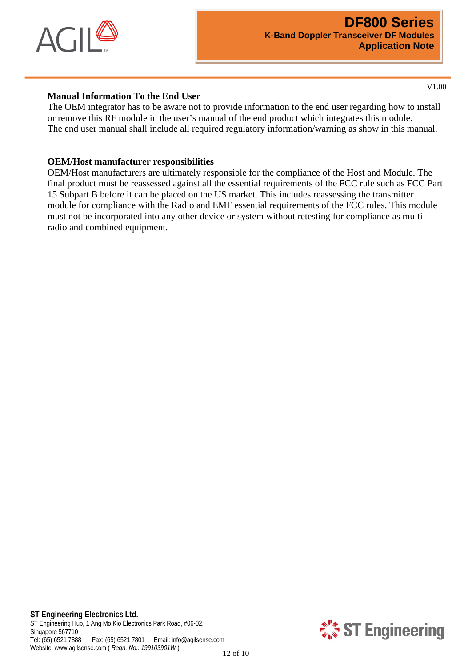

#### **Manual Information To the End User**

The OEM integrator has to be aware not to provide information to the end user regarding how to install or remove this RF module in the user's manual of the end product which integrates this module. The end user manual shall include all required regulatory information/warning as show in this manual.

#### **OEM/Host manufacturer responsibilities**

OEM/Host manufacturers are ultimately responsible for the compliance of the Host and Module. The final product must be reassessed against all the essential requirements of the FCC rule such as FCC Part 15 Subpart B before it can be placed on the US market. This includes reassessing the transmitter module for compliance with the Radio and EMF essential requirements of the FCC rules. This module must not be incorporated into any other device or system without retesting for compliance as multiradio and combined equipment.

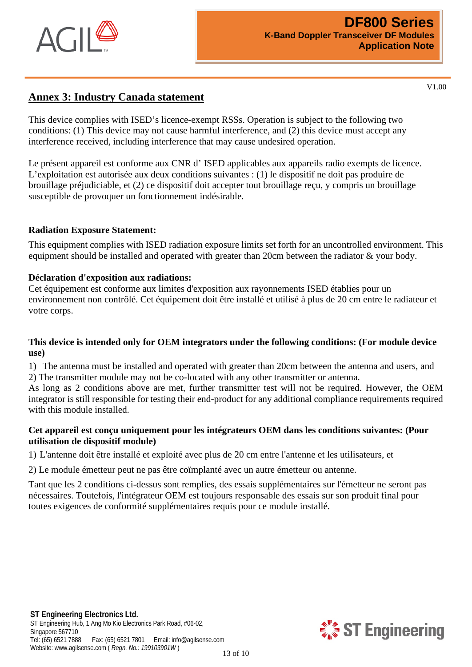

### **Annex 3: Industry Canada statement**

This device complies with ISED's licence-exempt RSSs. Operation is subject to the following two conditions: (1) This device may not cause harmful interference, and (2) this device must accept any interference received, including interference that may cause undesired operation.

Le présent appareil est conforme aux CNR d' ISED applicables aux appareils radio exempts de licence. L'exploitation est autorisée aux deux conditions suivantes : (1) le dispositif ne doit pas produire de brouillage préjudiciable, et (2) ce dispositif doit accepter tout brouillage reçu, y compris un brouillage susceptible de provoquer un fonctionnement indésirable.

#### **Radiation Exposure Statement:**

This equipment complies with ISED radiation exposure limits set forth for an uncontrolled environment. This equipment should be installed and operated with greater than 20cm between the radiator & your body.

#### **Déclaration d'exposition aux radiations:**

Cet équipement est conforme aux limites d'exposition aux rayonnements ISED établies pour un environnement non contrôlé. Cet équipement doit être installé et utilisé à plus de 20 cm entre le radiateur et votre corps.

#### **This device is intended only for OEM integrators under the following conditions: (For module device use)**

1) The antenna must be installed and operated with greater than 20cm between the antenna and users, and 2) The transmitter module may not be co-located with any other transmitter or antenna.

As long as 2 conditions above are met, further transmitter test will not be required. However, the OEM integrator is still responsible for testing their end-product for any additional compliance requirements required with this module installed.

#### **Cet appareil est conçu uniquement pour les intégrateurs OEM dans les conditions suivantes: (Pour utilisation de dispositif module)**

1) L'antenne doit être installé et exploité avec plus de 20 cm entre l'antenne et les utilisateurs, et

2) Le module émetteur peut ne pas être coïmplanté avec un autre émetteur ou antenne.

Tant que les 2 conditions ci-dessus sont remplies, des essais supplémentaires sur l'émetteur ne seront pas nécessaires. Toutefois, l'intégrateur OEM est toujours responsable des essais sur son produit final pour toutes exigences de conformité supplémentaires requis pour ce module installé.



V1.00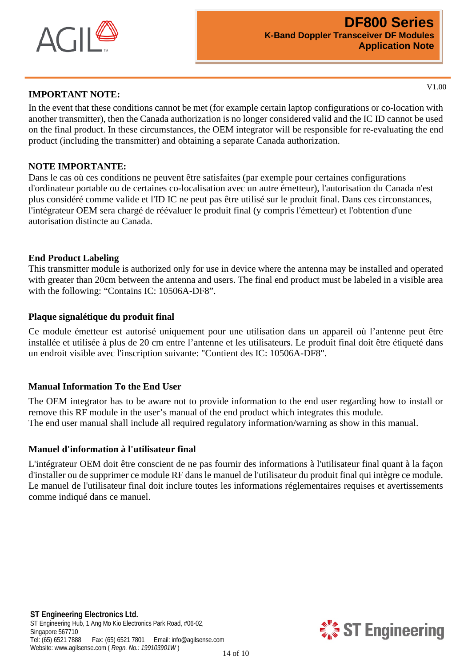

#### **IMPORTANT NOTE:**

V1.00

In the event that these conditions cannot be met (for example certain laptop configurations or co-location with another transmitter), then the Canada authorization is no longer considered valid and the IC ID cannot be used on the final product. In these circumstances, the OEM integrator will be responsible for re-evaluating the end product (including the transmitter) and obtaining a separate Canada authorization.

#### **NOTE IMPORTANTE:**

Dans le cas où ces conditions ne peuvent être satisfaites (par exemple pour certaines configurations d'ordinateur portable ou de certaines co-localisation avec un autre émetteur), l'autorisation du Canada n'est plus considéré comme valide et l'ID IC ne peut pas être utilisé sur le produit final. Dans ces circonstances, l'intégrateur OEM sera chargé de réévaluer le produit final (y compris l'émetteur) et l'obtention d'une autorisation distincte au Canada.

#### **End Product Labeling**

This transmitter module is authorized only for use in device where the antenna may be installed and operated with greater than 20cm between the antenna and users. The final end product must be labeled in a visible area with the following: "Contains IC: 10506A-DF8".

#### **Plaque signalétique du produit final**

Ce module émetteur est autorisé uniquement pour une utilisation dans un appareil où l'antenne peut être installée et utilisée à plus de 20 cm entre l'antenne et les utilisateurs. Le produit final doit être étiqueté dans un endroit visible avec l'inscription suivante: "Contient des IC: 10506A-DF8".

#### **Manual Information To the End User**

The OEM integrator has to be aware not to provide information to the end user regarding how to install or remove this RF module in the user's manual of the end product which integrates this module. The end user manual shall include all required regulatory information/warning as show in this manual.

#### **Manuel d'information à l'utilisateur final**

L'intégrateur OEM doit être conscient de ne pas fournir des informations à l'utilisateur final quant à la façon d'installer ou de supprimer ce module RF dans le manuel de l'utilisateur du produit final qui intègre ce module. Le manuel de l'utilisateur final doit inclure toutes les informations réglementaires requises et avertissements comme indiqué dans ce manuel.